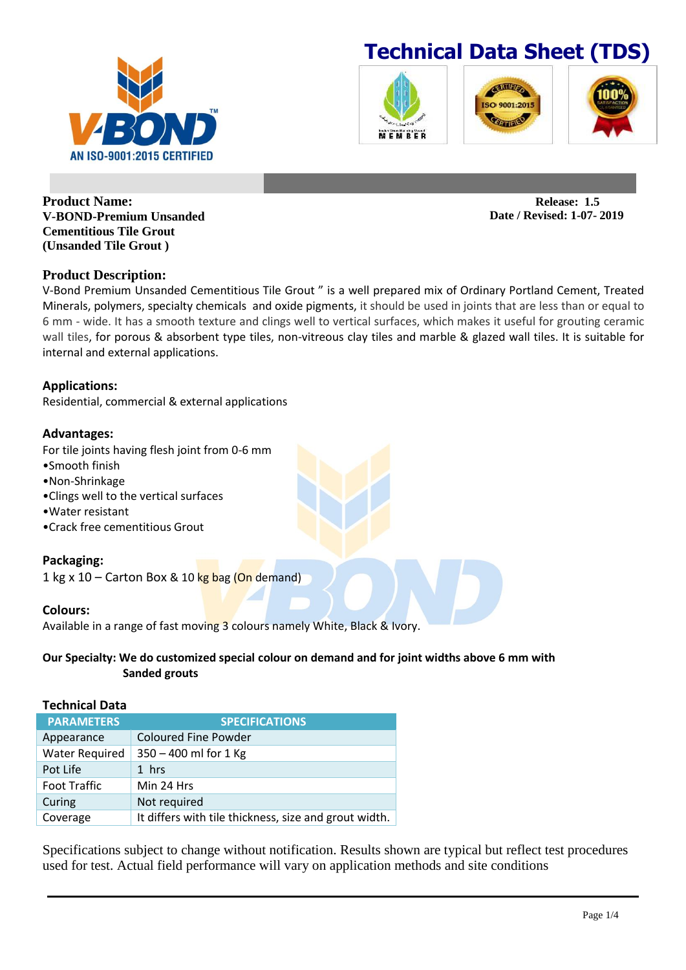







**Product Name: V-BOND-Premium Unsanded Cementitious Tile Grout (Unsanded Tile Grout )**

## **Product Description:**

V-Bond Premium Unsanded Cementitious Tile Grout " is a well prepared mix of Ordinary Portland Cement, Treated Minerals, polymers, specialty chemicals and oxide pigments, it should be used in joints that are less than or equal to 6 mm - wide. It has a smooth texture and clings well to vertical surfaces, which makes it useful for grouting ceramic wall tiles, for porous & absorbent type tiles, non-vitreous clay tiles and marble & glazed wall tiles. It is suitable for internal and external applications.

## **Applications:**

Residential, commercial & external applications

### **Advantages:**

For tile joints having flesh joint from 0-6 mm

- •Smooth finish
- •Non-Shrinkage
- •Clings well to the vertical surfaces
- •Water resistant
- •Crack free cementitious Grout

#### **Packaging:**

1 kg x 10 – Carton Box & 10 kg bag (On demand)

#### **Colours:**

Available in a range of fast moving 3 colours namely White, Black & Ivory.

### **Our Specialty: We do customized special colour on demand and for joint widths above 6 mm with Sanded grouts**

#### **Technical Data**

| <b>PARAMETERS</b>     | <b>SPECIFICATIONS</b>                                 |
|-----------------------|-------------------------------------------------------|
| Appearance            | <b>Coloured Fine Powder</b>                           |
| <b>Water Required</b> | 350 - 400 ml for 1 Kg                                 |
| Pot Life              | 1 hrs                                                 |
| <b>Foot Traffic</b>   | Min 24 Hrs                                            |
| Curing                | Not required                                          |
| Coverage              | It differs with tile thickness, size and grout width. |

Specifications subject to change without notification. Results shown are typical but reflect test procedures used for test. Actual field performance will vary on application methods and site conditions

**Release: 1.5 Date / Revised: 1-07- 2019**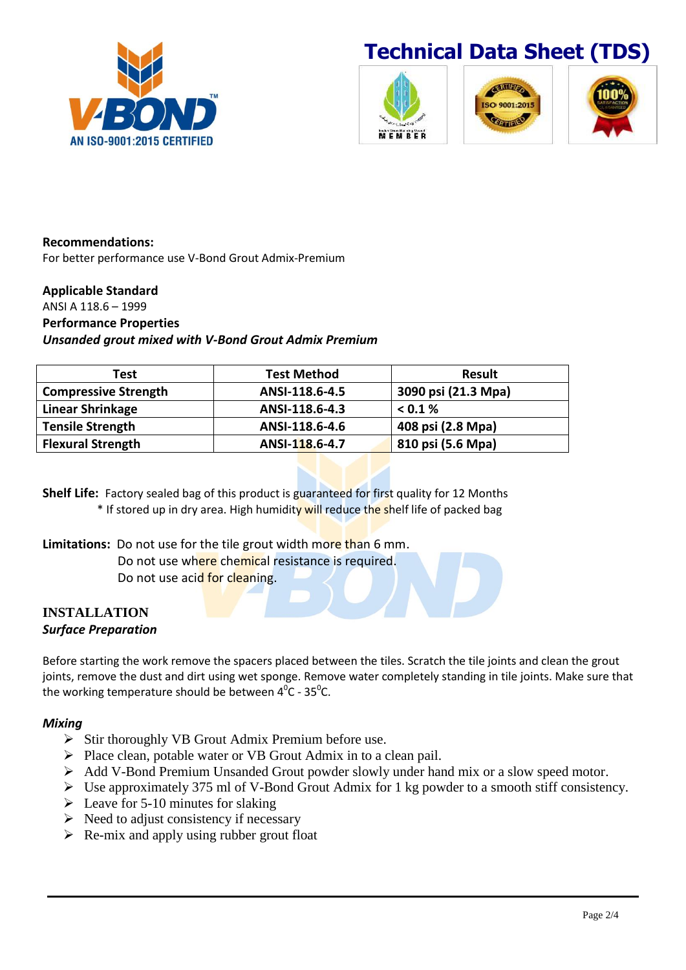







**Recommendations:** For better performance use V-Bond Grout Admix-Premium

### **Applicable Standard**

ANSI A 118.6 – 1999 **Performance Properties** *Unsanded grout mixed with V-Bond Grout Admix Premium*

| Test                        | <b>Test Method</b> | <b>Result</b>       |
|-----------------------------|--------------------|---------------------|
| <b>Compressive Strength</b> | ANSI-118.6-4.5     | 3090 psi (21.3 Mpa) |
| <b>Linear Shrinkage</b>     | ANSI-118.6-4.3     | < 0.1 %             |
| <b>Tensile Strength</b>     | ANSI-118.6-4.6     | 408 psi (2.8 Mpa)   |
| <b>Flexural Strength</b>    | ANSI-118.6-4.7     | 810 psi (5.6 Mpa)   |

**Shelf Life:** Factory sealed bag of this product is guaranteed for first quality for 12 Months \* If stored up in dry area. High humidity will reduce the shelf life of packed bag

**Limitations:** Do not use for the tile grout width more than 6 mm. Do not use where chemical resistance is required. Do not use acid for cleaning.

### **INSTALLATION** *Surface Preparation*

Before starting the work remove the spacers placed between the tiles. Scratch the tile joints and clean the grout joints, remove the dust and dirt using wet sponge. Remove water completely standing in tile joints. Make sure that the working temperature should be between  $4^0$ C - 35<sup>o</sup>C.

## *Mixing*

- $\triangleright$  Stir thoroughly VB Grout Admix Premium before use.
- $\triangleright$  Place clean, potable water or VB Grout Admix in to a clean pail.
- Add V-Bond Premium Unsanded Grout powder slowly under hand mix or a slow speed motor.
- Use approximately 375 ml of V-Bond Grout Admix for 1 kg powder to a smooth stiff consistency.
- $\geq$  Leave for 5-10 minutes for slaking
- $\triangleright$  Need to adjust consistency if necessary
- $\triangleright$  Re-mix and apply using rubber grout float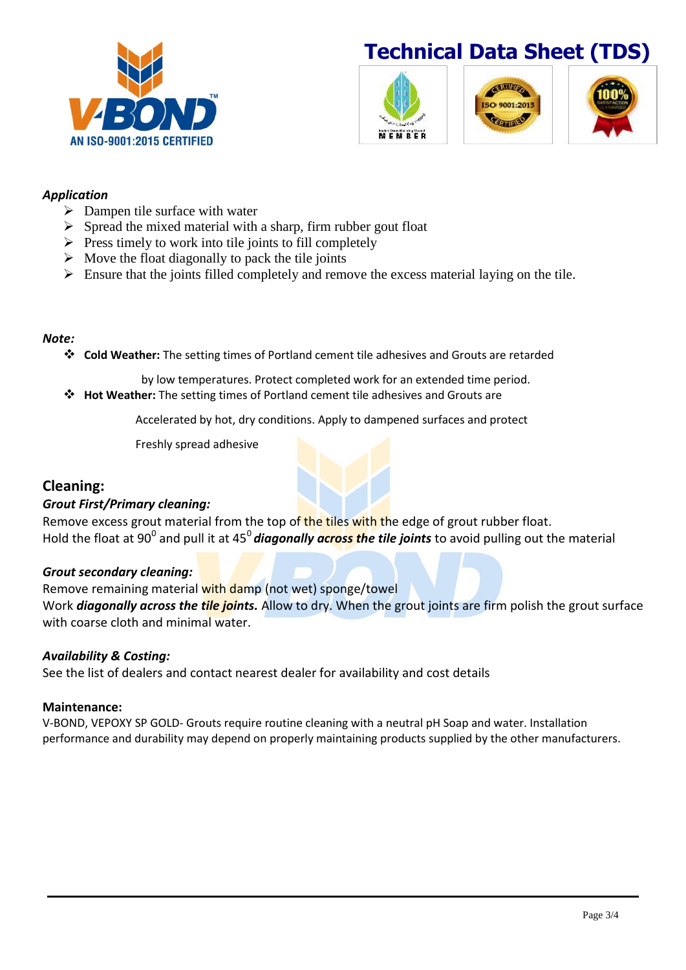



## *Application*

- $\triangleright$  Dampen tile surface with water
- $\triangleright$  Spread the mixed material with a sharp, firm rubber gout float
- $\triangleright$  Press timely to work into tile joints to fill completely
- $\triangleright$  Move the float diagonally to pack the tile joints
- Ensure that the joints filled completely and remove the excess material laying on the tile.

## *Note:*

**Cold Weather:** The setting times of Portland cement tile adhesives and Grouts are retarded

by low temperatures. Protect completed work for an extended time period.

**Hot Weather:** The setting times of Portland cement tile adhesives and Grouts are

Accelerated by hot, dry conditions. Apply to dampened surfaces and protect

Freshly spread adhesive

# **Cleaning:**

## *Grout First/Primary cleaning:*

Remove excess grout material from the top of the tiles with the edge of grout rubber float. Hold the float at 90<sup>0</sup> and pull it at 45<sup>0</sup> diagonally across the tile joints to avoid pulling out the material

## *Grout secondary cleaning:*

Remove remaining material with damp (not wet) sponge/towel Work *diagonally across the tile joints.* Allow to dry. When the grout joints are firm polish the grout surface with coarse cloth and minimal water.

## *Availability & Costing:*

See the list of dealers and contact nearest dealer for availability and cost details

#### **Maintenance:**

V-BOND, VEPOXY SP GOLD- Grouts require routine cleaning with a neutral pH Soap and water. Installation performance and durability may depend on properly maintaining products supplied by the other manufacturers.